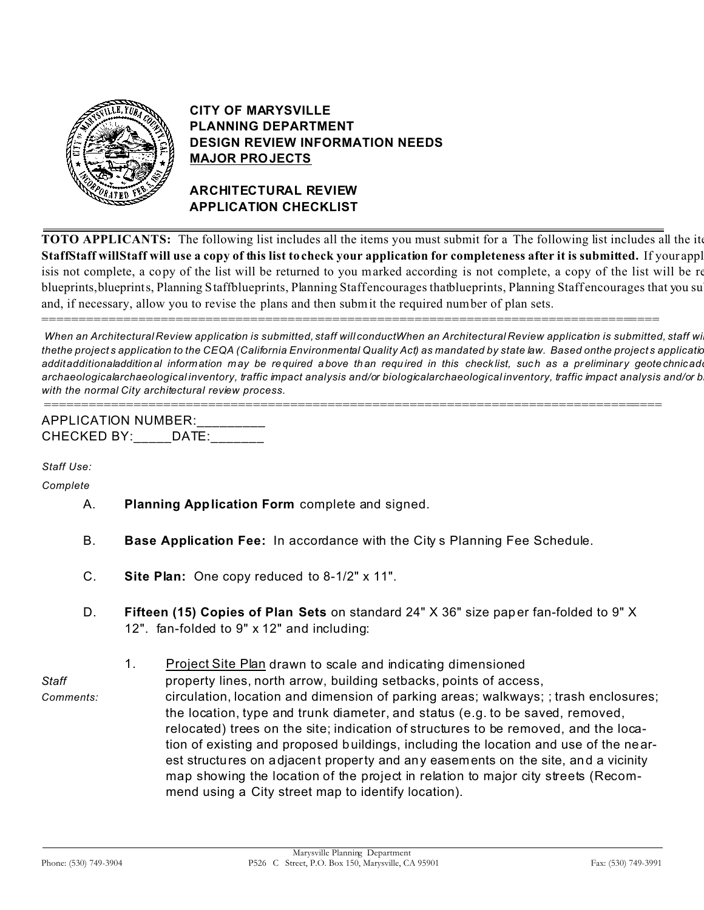

# **CITY OF MARYSVILLE PLANNING DEPARTMENT DESIGN REVIEW INFORMATION NEEDS MAJOR PROJECTS**

### **ARCHITECTURAL REVIEW APPLICATION CHECKLIST**

**TOTO APPLICANTS:** The following list includes all the items you must submit for a The following list includes all the ite **StaffStaff willStaff will use a copy of this list to check your application for completeness after it is submitted.** If your application isis not complete, a copy of the list will be returned to you marked according is not complete, a copy of the list will be re blueprints, blueprints, Planning Staffblueprints, Planning Staffencourages thatblueprints, Planning Staffencourages that you su and, if necessary, allow you to revise the plans and then submit the required number of plan sets.

When an Architectural Review application is submitted, staff will conductWhen an Architectural Review application is submitted, staff wi thethe projects application to the CEQA (California Environmental Quality Act) as mandated by state law. Based onthe projects application additadditionaladditional information may be required above than required in this checklist, such as a preliminary geotechnicad archaeologicalarchaeological inventory, traffic impact analysis and/or biologicalarchaeological inventory, traffic impact analysis and/or b *with the normal City architectural review process.*

===================================================================================

=================================================================================== APPLICATION NUMBER: CHECKED BY: DATE:

*Staff Use:*

*Complete* &

- & A. **Planning Application Form** complete and signed.
- & B. **Base Application Fee:** In accordance with the City s Planning Fee Schedule.
- & C. **Site Plan:** One copy reduced to 8-1/2" x 11".
- & D. **Fifteen (15) Copies of Plan Sets** on standard 24" X 36" size paper fan-folded to 9" X 12". fan-folded to 9" x 12" and including:
- 1. Project Site Plan drawn to scale and indicating dimensioned

*Staff* property lines, north arrow, building setbacks, points of access,

*Comments:* circulation, location and dimension of parking areas; walkways; ; trash enclosures; the location, type and trunk diameter, and status (e.g. to be saved, removed, relocated) trees on the site; indication of structures to be removed, and the location of existing and proposed buildings, including the location and use of the nearest structures on adjacent property and any easements on the site, and a vicinity map showing the location of the project in relation to major city streets (Recommend using a City street map to identify location).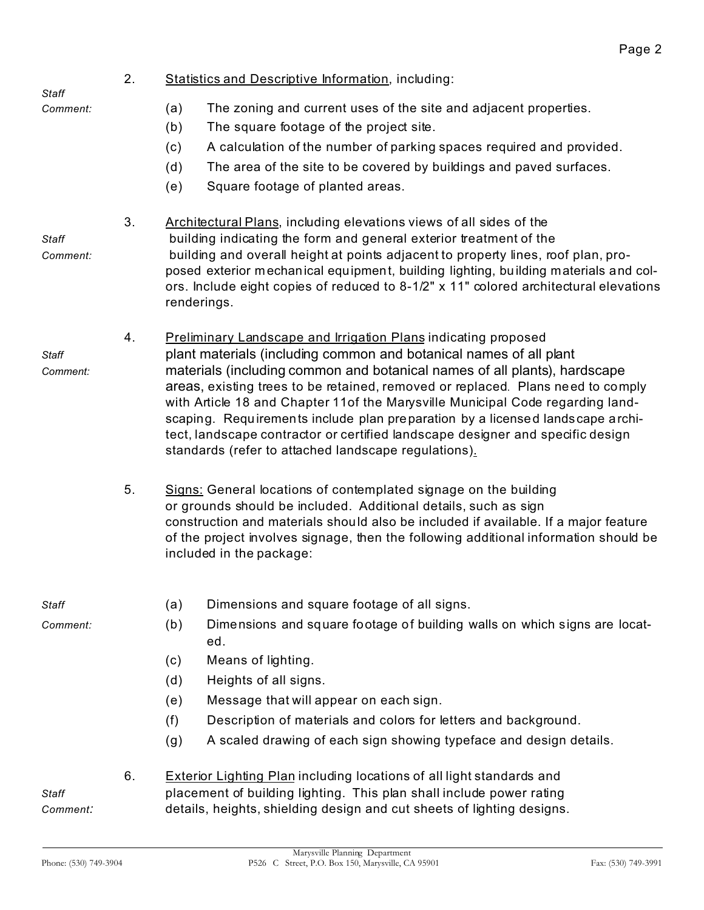| Staff                    | 2. | <b>Statistics and Descriptive Information, including:</b>                                                                                                                                                                                                                                                                                                                                                                                                                                                                                                                                                                |
|--------------------------|----|--------------------------------------------------------------------------------------------------------------------------------------------------------------------------------------------------------------------------------------------------------------------------------------------------------------------------------------------------------------------------------------------------------------------------------------------------------------------------------------------------------------------------------------------------------------------------------------------------------------------------|
| Comment:                 |    | (a)<br>The zoning and current uses of the site and adjacent properties.<br>(b)<br>The square footage of the project site.<br>A calculation of the number of parking spaces required and provided.<br>(c)<br>The area of the site to be covered by buildings and paved surfaces.<br>(d)<br>Square footage of planted areas.<br>(e)                                                                                                                                                                                                                                                                                        |
| <b>Staff</b><br>Comment: | 3. | Architectural Plans, including elevations views of all sides of the<br>building indicating the form and general exterior treatment of the<br>building and overall height at points adjacent to property lines, roof plan, pro-<br>posed exterior mechanical equipment, building lighting, building materials and col-<br>ors. Include eight copies of reduced to 8-1/2" x 11" colored architectural elevations<br>renderings.                                                                                                                                                                                            |
| Staff<br>Comment:        | 4. | <b>Preliminary Landscape and Irrigation Plans indicating proposed</b><br>plant materials (including common and botanical names of all plant<br>materials (including common and botanical names of all plants), hardscape<br>areas, existing trees to be retained, removed or replaced. Plans need to comply<br>with Article 18 and Chapter 11of the Marysville Municipal Code regarding land-<br>scaping. Requirements include plan preparation by a licensed landscape archi-<br>tect, landscape contractor or certified landscape designer and specific design<br>standards (refer to attached landscape regulations). |
|                          | 5. | Signs: General locations of contemplated signage on the building<br>or grounds should be included. Additional details, such as sign<br>construction and materials should also be included if available. If a major feature<br>of the project involves signage, then the following additional information should be<br>included in the package:                                                                                                                                                                                                                                                                           |
| Staff                    |    | Dimensions and square footage of all signs.<br>(a)                                                                                                                                                                                                                                                                                                                                                                                                                                                                                                                                                                       |
| Comment:                 |    | Dimensions and square footage of building walls on which signs are locat-<br>(b)<br>ed.<br>Means of lighting.<br>(c)                                                                                                                                                                                                                                                                                                                                                                                                                                                                                                     |
|                          |    | (d)<br>Heights of all signs.                                                                                                                                                                                                                                                                                                                                                                                                                                                                                                                                                                                             |
|                          |    | Message that will appear on each sign.<br>(e)                                                                                                                                                                                                                                                                                                                                                                                                                                                                                                                                                                            |
|                          |    | (f)<br>Description of materials and colors for letters and background.<br>A scaled drawing of each sign showing typeface and design details.<br>(g)                                                                                                                                                                                                                                                                                                                                                                                                                                                                      |
| <b>Staff</b><br>Comment: | 6. | <b>Exterior Lighting Plan including locations of all light standards and</b><br>placement of building lighting. This plan shall include power rating<br>details, heights, shielding design and cut sheets of lighting designs.                                                                                                                                                                                                                                                                                                                                                                                           |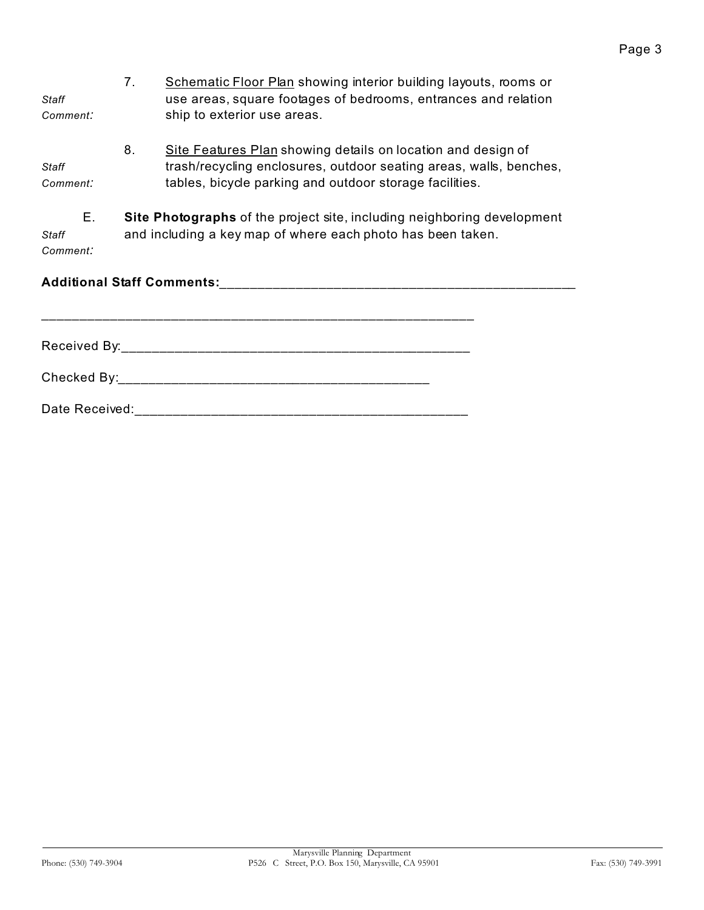| Staff<br>Comment:       | 7.                                                                                                                                            | Schematic Floor Plan showing interior building layouts, rooms or<br>use areas, square footages of bedrooms, entrances and relation<br>ship to exterior use areas.                                                              |  |
|-------------------------|-----------------------------------------------------------------------------------------------------------------------------------------------|--------------------------------------------------------------------------------------------------------------------------------------------------------------------------------------------------------------------------------|--|
| Staff<br>Comment:       | 8.                                                                                                                                            | Site Features Plan showing details on location and design of<br>trash/recycling enclosures, outdoor seating areas, walls, benches,<br>tables, bicycle parking and outdoor storage facilities.                                  |  |
| Е.<br>Staff<br>Comment: | <b>Site Photographs</b> of the project site, including neighboring development<br>and including a key map of where each photo has been taken. |                                                                                                                                                                                                                                |  |
|                         |                                                                                                                                               |                                                                                                                                                                                                                                |  |
|                         |                                                                                                                                               |                                                                                                                                                                                                                                |  |
|                         |                                                                                                                                               | Checked By: the contract of the contract of the contract of the contract of the contract of the contract of the contract of the contract of the contract of the contract of the contract of the contract of the contract of th |  |
| Date Received:          |                                                                                                                                               |                                                                                                                                                                                                                                |  |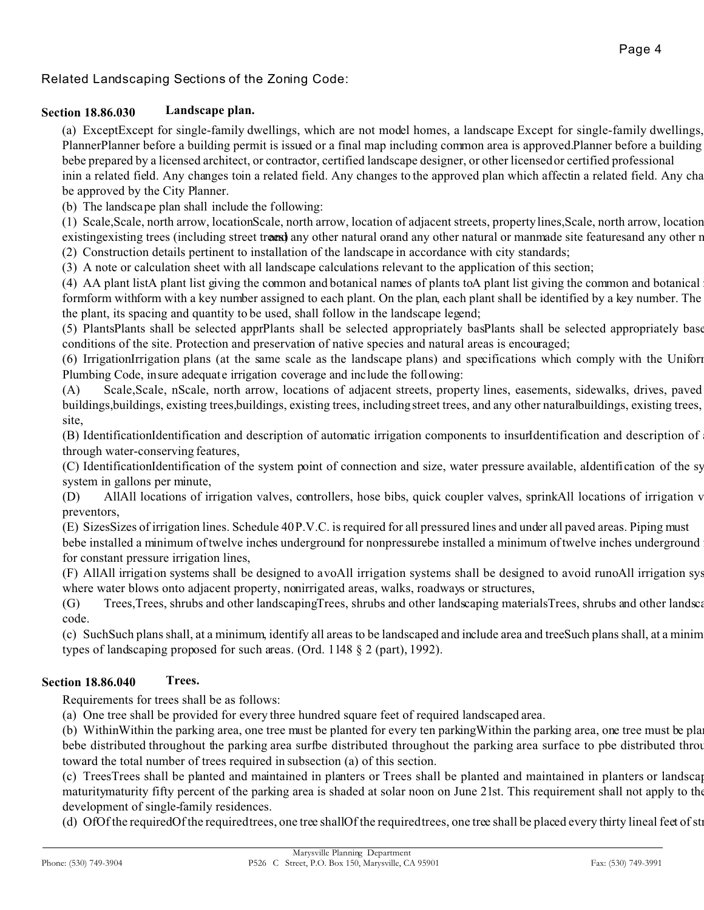# Related Landscaping Sections of the Zoning Code:

#### **Section 18.86.030 Landscape plan.**

(a) ExceptExcept for single-family dwellings, which are not model homes, a landscape Except for single-family dwellings, PlannerPlanner before a building permit is issued or a final map including common area is approved.Planner before a building bebe prepared by a licensed architect, or contractor, certified landscape designer, or other licensed or certified professional inin a related field. Any changes toin a related field. Any changes to the approved plan which affectin a related field. Any cha be approved by the City Planner.

(b) The landscape plan shall include the following:

(1) Scale,Scale, north arrow, locationScale, north arrow, location of adjacent streets, property lines,Scale, north arrow, location existing existing trees (including street trees) any other natural orand any other natural or manmade site features and any other r (2) Construction details pertinent to installation of the landscape in accordance with city standards;

(3) A note or calculation sheet with all landscape calculations relevant to the application of this section;

(4) AA plant listA plant list giving the common and botanical names of plants toA plant list giving the common and botanical formform withform with a key number assigned to each plant. On the plan, each plant shall be identified by a key number. The the plant, its spacing and quantity to be used, shall follow in the landscape legend;

(5) PlantsPlants shall be selected apprPlants shall be selected appropriately basPlants shall be selected appropriately base conditions of the site. Protection and preservation of native species and natural areas is encouraged;

(6) IrrigationIrrigation plans (at the same scale as the landscape plans) and specifications which comply with the Uniform Plumbing Code, insure adequate irrigation coverage and include the following:

(A) Scale, Scale, nScale, north arrow, locations of adjacent streets, property lines, easements, sidewalks, drives, paved buildings, buildings, existing trees, buildings, existing trees, including street trees, and any other natural buildings, existing trees, site,

(B) IdentificationIdentification and description of automatic irrigation components to insurfdentification and description of through water-conserving features,

(C) IdentificationIdentification of the system point of connection and size, water pressure available, aldentification of the system system in gallons per minute,

(D) AllAll locations of irrigation valves, controllers, hose bibs, quick coupler valves, sprinkAll locations of irrigation v preventors,

(E) SizesSizes of irrigation lines. Schedule 40 P.V.C. is required for all pressured lines and under all paved areas. Piping must bebe installed a minimum of twelve inches underground for nonpressurebe installed a minimum of twelve inches underground for constant pressure irrigation lines,

 $(F)$  AllAll irrigation systems shall be designed to avoAll irrigation systems shall be designed to avoid runoAll irrigation systems where water blows onto adjacent property, nonirrigated areas, walks, roadways or structures,

(G) Trees, Trees, shrubs and other landscaping Trees, shrubs and other landscaping materials Trees, shrubs and other landscaping materials in accordance with Section 11.04.100 of the maintained in accordance with Section 1 code.

(c) Such Such plans shall, at a minimum, identify all areas to be landscaped and include area and tree Such plans shall, at a minim types of landscaping proposed for such areas. (Ord. 1148 § 2 (part), 1992).

### **Section 18.86.040 Trees.**

Requirements for trees shall be as follows:

(a) One tree shall be provided for every three hundred square feet of required landscaped area.

(b) Within Within the parking area, one tree must be planted for every ten parking Within the parking area, one tree must be pla bebe distributed throughout the parking area surfbe distributed throughout the parking area surface to pbe distributed throughout the parking area surface to pbe distributed throughout. toward the total number of trees required in subsection (a) of this section.

(c) TreesTrees shall be planted and maintained in planters or Trees shall be planted and maintained in planters or landscap maturitymaturity fifty percent of the parking area is shaded at solar noon on June 21st. This requirement shall not apply to the development of single-family residences.

(d) OfOf the requiredOf the required trees, one tree shallOf the required trees, one tree shall be placed every thirty lineal feet of str